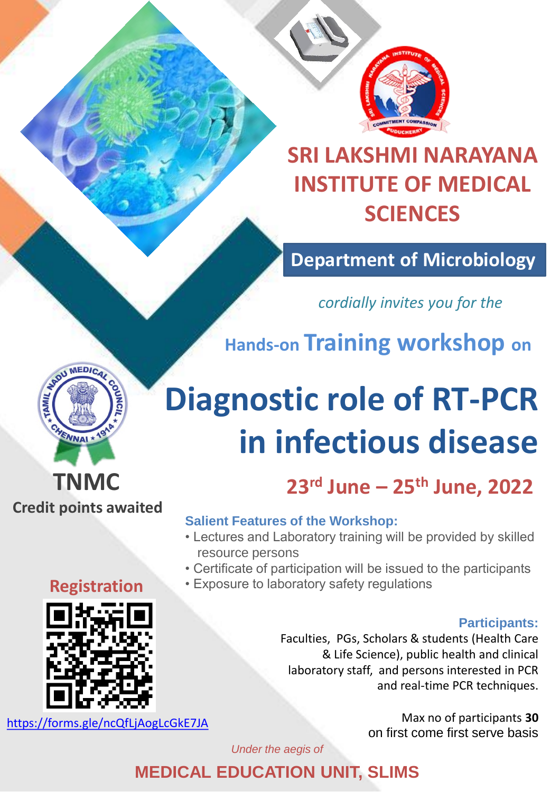

# **SRI LAKSHMI NARAYANA INSTITUTE OF MEDICAL SCIENCES**

## **Department of Microbiology**

## *cordially invites you for the*

**Hands-on Training workshop on** 

# **Diagnostic role of RT-PCR in infectious disease**

## **23rd June – 25th June, 2022**

#### **Salient Features of the Workshop:**

- Lectures and Laboratory training will be provided by skilled resource persons
- Certificate of participation will be issued to the participants
- Exposure to laboratory safety regulations

#### **Participants:**

Faculties, PGs, Scholars & students (Health Care & Life Science), public health and clinical laboratory staff, and persons interested in PCR and real-time PCR techniques.

> Max no of participants **30** on first come first serve basis

*Under the aegis of*

**MEDICAL EDUCATION UNIT, SLIMS**

#### **Registration**

**TNMC** 

**ENNAI \*** 

**Credit points awaited** 



<https://forms.gle/ncQfLjAogLcGkE7JA>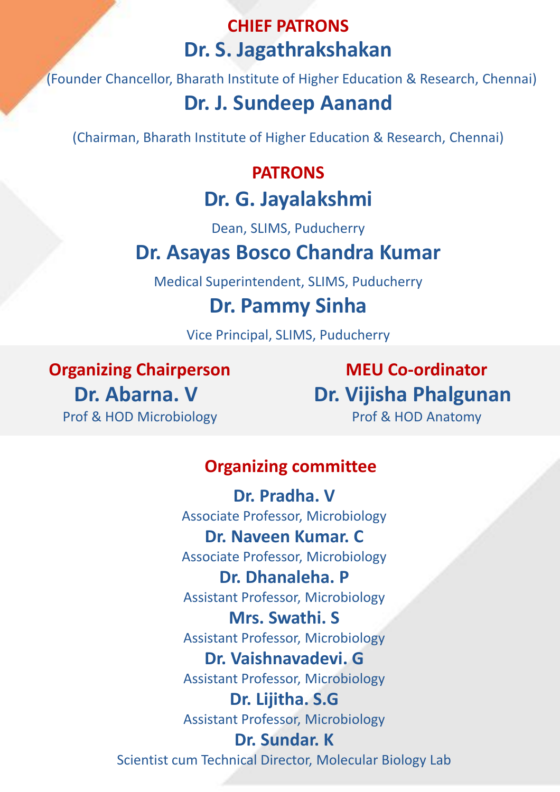### **CHIEF PATRONS Dr. S. Jagathrakshakan**

(Founder Chancellor, Bharath Institute of Higher Education & Research, Chennai)

## **Dr. J. Sundeep Aanand**

(Chairman, Bharath Institute of Higher Education & Research, Chennai)

#### **PATRONS**

## **Dr. G. Jayalakshmi**

Dean, SLIMS, Puducherry

## **Dr. Asayas Bosco Chandra Kumar**

Medical Superintendent, SLIMS, Puducherry

## **Dr. Pammy Sinha**

Vice Principal, SLIMS, Puducherry

**Organizing Chairperson Dr. Abarna. V** Prof & HOD Microbiology

**MEU Co-ordinator Dr. Vijisha Phalgunan** Prof & HOD Anatomy

#### **Organizing committee**

**Dr. Pradha. V** Associate Professor, Microbiology **Dr. Naveen Kumar. C** Associate Professor, Microbiology **Dr. Dhanaleha. P**  Assistant Professor, Microbiology **Mrs. Swathi. S** Assistant Professor, Microbiology **Dr. Vaishnavadevi. G**

Assistant Professor, Microbiology

**Dr. Lijitha. S.G** Assistant Professor, Microbiology

**Dr. Sundar. K**  Scientist cum Technical Director, Molecular Biology Lab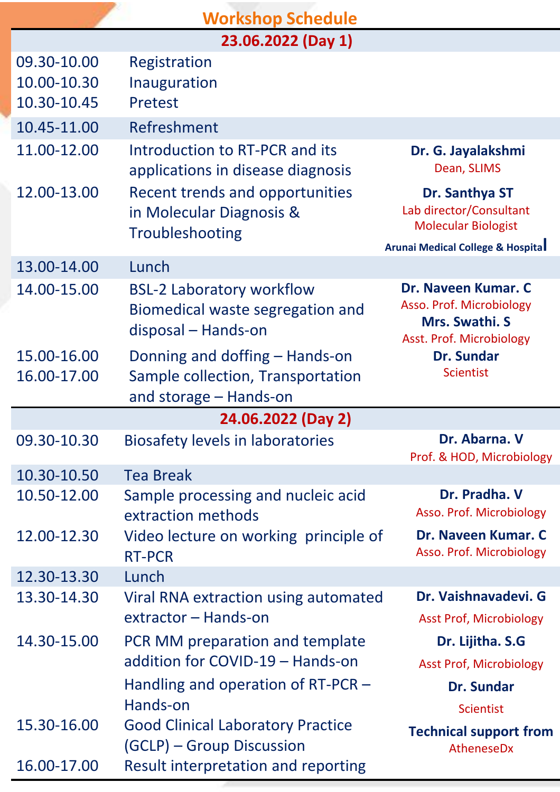|                                           | <b>Workshop Schedule</b>                                                                      |                                                                                               |  |
|-------------------------------------------|-----------------------------------------------------------------------------------------------|-----------------------------------------------------------------------------------------------|--|
| 23.06.2022 (Day 1)                        |                                                                                               |                                                                                               |  |
| 09.30-10.00<br>10.00-10.30<br>10.30-10.45 | Registration<br>Inauguration<br><b>Pretest</b>                                                |                                                                                               |  |
| 10.45-11.00                               | Refreshment                                                                                   |                                                                                               |  |
| 11.00-12.00                               | Introduction to RT-PCR and its<br>applications in disease diagnosis                           | Dr. G. Jayalakshmi<br>Dean, SLIMS                                                             |  |
| 12.00-13.00                               | Recent trends and opportunities<br>in Molecular Diagnosis &<br>Troubleshooting                | Dr. Santhya ST<br>Lab director/Consultant<br><b>Molecular Biologist</b>                       |  |
| 13.00-14.00                               | Lunch                                                                                         | <b>Arunai Medical College &amp; Hospital</b>                                                  |  |
| 14.00-15.00                               | <b>BSL-2 Laboratory workflow</b><br>Biomedical waste segregation and<br>disposal – Hands-on   | Dr. Naveen Kumar. C<br>Asso. Prof. Microbiology<br>Mrs. Swathi. S<br>Asst. Prof. Microbiology |  |
| 15.00-16.00<br>16.00-17.00                | Donning and doffing – Hands-on<br>Sample collection, Transportation<br>and storage – Hands-on | <b>Dr. Sundar</b><br><b>Scientist</b>                                                         |  |
| 24.06.2022 (Day 2)                        |                                                                                               |                                                                                               |  |
| 09.30-10.30                               | <b>Biosafety levels in laboratories</b>                                                       | Dr. Abarna, V<br>Prof. & HOD, Microbiology                                                    |  |
| 10.30-10.50                               | <b>Tea Break</b>                                                                              |                                                                                               |  |
| 10.50-12.00                               | Sample processing and nucleic acid<br>extraction methods                                      | Dr. Pradha. V<br>Asso. Prof. Microbiology                                                     |  |
| 12.00-12.30                               | Video lecture on working principle of<br><b>RT-PCR</b>                                        | Dr. Naveen Kumar. C<br>Asso. Prof. Microbiology                                               |  |
| 12.30-13.30                               | Lunch                                                                                         |                                                                                               |  |
| 13.30-14.30                               | Viral RNA extraction using automated<br>extractor – Hands-on                                  | Dr. Vaishnavadevi. G<br><b>Asst Prof, Microbiology</b>                                        |  |
| 14.30-15.00                               | PCR MM preparation and template                                                               | Dr. Lijitha. S.G                                                                              |  |
|                                           | addition for COVID-19 – Hands-on                                                              | <b>Asst Prof, Microbiology</b>                                                                |  |
|                                           | Handling and operation of $RT-PCR$ –                                                          | <b>Dr. Sundar</b>                                                                             |  |
|                                           | Hands-on                                                                                      | <b>Scientist</b>                                                                              |  |
| 15.30-16.00                               | <b>Good Clinical Laboratory Practice</b><br>(GCLP) – Group Discussion                         | <b>Technical support from</b><br>AtheneseDx                                                   |  |
| 16.00-17.00                               | Result interpretation and reporting                                                           |                                                                                               |  |